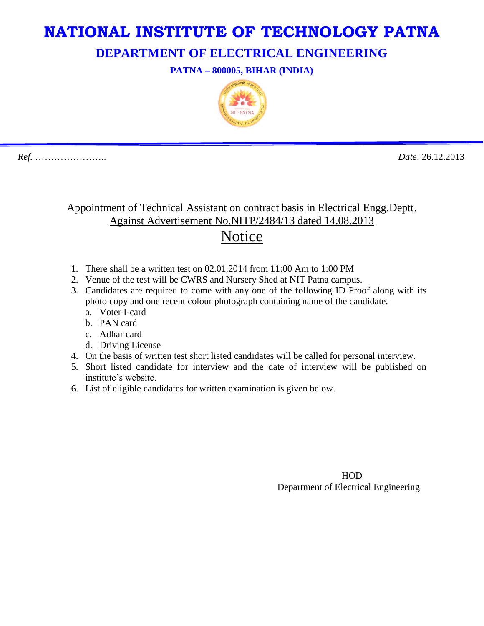## **NATIONAL INSTITUTE OF TECHNOLOGY PATNA**

**DEPARTMENT OF ELECTRICAL ENGINEERING**

**PATNA – 800005, BIHAR (INDIA)**



*Ref.* ………………….. *Date*: 26.12.2013

## Appointment of Technical Assistant on contract basis in Electrical Engg.Deptt. Against Advertisement No.NITP/2484/13 dated 14.08.2013 Notice

- 1. There shall be a written test on 02.01.2014 from 11:00 Am to 1:00 PM
- 2. Venue of the test will be CWRS and Nursery Shed at NIT Patna campus.
- 3. Candidates are required to come with any one of the following ID Proof along with its photo copy and one recent colour photograph containing name of the candidate.
	- a. Voter I-card
	- b. PAN card
	- c. Adhar card
	- d. Driving License
- 4. On the basis of written test short listed candidates will be called for personal interview.
- 5. Short listed candidate for interview and the date of interview will be published on institute's website.
- 6. List of eligible candidates for written examination is given below.

 HOD Department of Electrical Engineering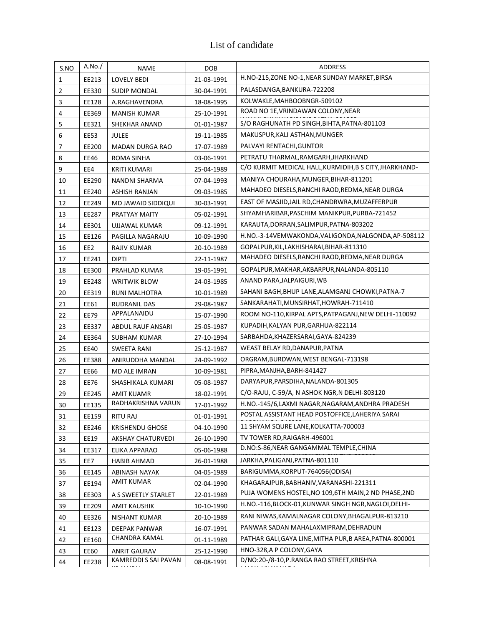## List of candidate

| S.NO         | A.No.           | <b>NAME</b>              | <b>DOB</b> | <b>ADDRESS</b>                                          |
|--------------|-----------------|--------------------------|------------|---------------------------------------------------------|
| $\mathbf{1}$ | EE213           | <b>LOVELY BEDI</b>       | 21-03-1991 | H.NO-215, ZONE NO-1, NEAR SUNDAY MARKET, BIRSA          |
| $\mathbf 2$  | EE330           | <b>SUDIP MONDAL</b>      | 30-04-1991 | PALASDANGA, BANKURA-722208                              |
| 3            | EE128           | A.RAGHAVENDRA            | 18-08-1995 | KOLWAKLE, MAHBOOBNGR-509102                             |
| 4            | EE369           | <b>MANISH KUMAR</b>      | 25-10-1991 | ROAD NO 1E, VRINDAWAN COLONY, NEAR                      |
| 5            | EE321           | SHEKHAR ANAND            | 01-01-1987 | S/O RAGHUNATH PD SINGH, BIHTA, PATNA-801103             |
| 6            | EE53            | <b>JULEE</b>             | 19-11-1985 | MAKUSPUR, KALI ASTHAN, MUNGER                           |
| 7            | EE200           | <b>MADAN DURGA RAO</b>   | 17-07-1989 | PALVAYI RENTACHI, GUNTOR                                |
| 8            | EE46            | ROMA SINHA               | 03-06-1991 | PETRATU THARMAL, RAMGARH, JHARKHAND                     |
| 9            | EE4             | <b>KRITI KUMARI</b>      | 25-04-1989 | C/O KURMIT MEDICAL HALL, KURMIDIH, B S CITY, JHARKHAND- |
| 10           | EE290           | NANDNI SHARMA            | 07-04-1993 | MANIYA CHOURAHA, MUNGER, BIHAR-811201                   |
| 11           | EE240           | <b>ASHISH RANJAN</b>     | 09-03-1985 | MAHADEO DIESELS, RANCHI RAOD, REDMA, NEAR DURGA         |
| 12           | EE249           | MD JAWAID SIDDIQUI       | 30-03-1991 | EAST OF MASJID, JAIL RD, CHANDRWRA, MUZAFFERPUR         |
| 13           | EE287           | PRATYAY MAITY            | 05-02-1991 | SHYAMHARIBAR, PASCHIM MANIKPUR, PURBA-721452            |
| 14           | EE301           | UJJAWAL KUMAR            | 09-12-1991 | KARAUTA, DORRAN, SALIMPUR, PATNA-803202                 |
| 15           | EE126           | PAGILLA NAGARAJU         | 10-09-1990 | H.NO.-3-14VEMWAKONDA, VALIGONDA, NALGONDA, AP-508112    |
| 16           | EE <sub>2</sub> | RAJIV KUMAR              | 20-10-1989 | GOPALPUR, KIL, LAKHISHARAI, BIHAR-811310                |
| 17           | EE241           | <b>DIPTI</b>             | 22-11-1987 | MAHADEO DIESELS, RANCHI RAOD, REDMA, NEAR DURGA         |
| 18           | EE300           | PRAHLAD KUMAR            | 19-05-1991 | GOPALPUR, MAKHAR, AKBARPUR, NALANDA-805110              |
| 19           | EE248           | <b>WRITWIK BLOW</b>      | 24-03-1985 | ANAND PARA, JALPAIGURI, WB                              |
| 20           | EE319           | RUNI MALHOTRA            | 10-01-1989 | SAHANI BAGH, BHUP LANE, ALAMGANJ CHOWKI, PATNA-7        |
| 21           | EE61            | <b>RUDRANIL DAS</b>      | 29-08-1987 | SANKARAHATI, MUNSIRHAT, HOWRAH-711410                   |
| 22           | <b>EE79</b>     | APPALANAIDU              | 15-07-1990 | ROOM NO-110, KIRPAL APTS, PATPAGANJ, NEW DELHI-110092   |
| 23           | EE337           | ABDUL RAUF ANSARI        | 25-05-1987 | KUPADIH, KALYAN PUR, GARHUA-822114                      |
| 24           | EE364           | <b>SUBHAM KUMAR</b>      | 27-10-1994 | SARBAHDA, KHAZERSARAI, GAYA-824239                      |
| 25           | <b>EE40</b>     | SWEETA RANI              | 25-12-1987 | WEAST BELAY RD, DANAPUR, PATNA                          |
| 26           | EE388           | ANIRUDDHA MANDAL         | 24-09-1992 | ORGRAM, BURDWAN, WEST BENGAL-713198                     |
| 27           | EE66            | MD ALE IMRAN             | 10-09-1981 | PIPRA, MANJHA, BARH-841427                              |
| 28           | <b>EE76</b>     | SHASHIKALA KUMARI        | 05-08-1987 | DARYAPUR, PARSDIHA, NALANDA-801305                      |
| 29           | EE245           | <b>AMIT KUAMR</b>        | 18-02-1991 | C/O-RAJU, C-59/A, N ASHOK NGR, N DELHI-803120           |
| 30           | EE135           | RADHAKRISHNA VARUN       | 17-01-1992 | H.NO.-145/6,LAXMI NAGAR,NAGARAM,ANDHRA PRADESH          |
| 31           | EE159           | <b>RITU RAJ</b>          | 01-01-1991 | POSTAL ASSISTANT HEAD POSTOFFICE, LAHERIYA SARAI        |
| 32           | EE246           | <b>KRISHENDU GHOSE</b>   | 04-10-1990 | 11 SHYAM SQURE LANE, KOLKATTA-700003                    |
| 33           | EE19            | <b>AKSHAY CHATURVEDI</b> | 26-10-1990 | TV TOWER RD, RAIGARH-496001                             |
| 34           | EE317           | ELIKA APPARAO            | 05-06-1988 | D.NO:S-86, NEAR GANGAMMAL TEMPLE, CHINA                 |
| 35           | EE7             | <b>HABIB AHMAD</b>       | 26-01-1988 | JARKHA, PALIGANJ, PATNA-801110                          |
| 36           | EE145           | ABINASH NAYAK            | 04-05-1989 | BARIGUMMA, KORPUT-764056(ODISA)                         |
| 37           | EE194           | <b>AMIT KUMAR</b>        | 02-04-1990 | KHAGARAJPUR, BABHANIV, VARANASHI-221311                 |
| 38           | EE303           | A S SWEETLY STARLET      | 22-01-1989 | PUJA WOMENS HOSTEL, NO 109,6TH MAIN, 2 ND PHASE, 2ND    |
| 39           | EE209           | <b>AMIT KAUSHIK</b>      | 10-10-1990 | H.NO.-116, BLOCK-01, KUNWAR SINGH NGR, NAGLOI, DELHI-   |
| 40           | EE326           | NISHANT KUMAR            | 20-10-1989 | RANI NIWAS, KAMALNAGAR COLONY, BHAGALPUR-813210         |
| 41           | EE123           | DEEPAK PANWAR            | 16-07-1991 | PANWAR SADAN MAHALAXMIPRAM, DEHRADUN                    |
| 42           | EE160           | CHANDRA KAMAL            | 01-11-1989 | PATHAR GALI,GAYA LINE,MITHA PUR,B AREA,PATNA-800001     |
| 43           | EE60            | <b>ANRIT GAURAV</b>      | 25-12-1990 | HNO-328,A P COLONY,GAYA                                 |
| 44           | EE238           | KAMREDDI S SAI PAVAN     | 08-08-1991 | D/NO:20-/8-10, P.RANGA RAO STREET, KRISHNA              |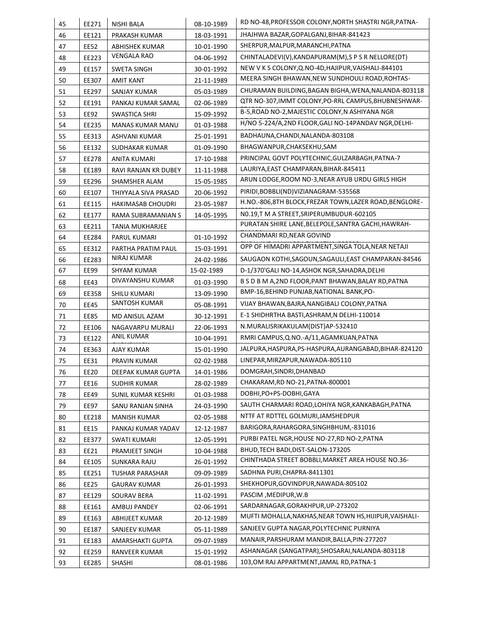| EE271          | <b>NISHI BALA</b>                                                                                                                                                           | 08-10-1989                                                                                                                                                                                                                                                                                        | RD NO-48, PROFESSOR COLONY, NORTH SHASTRI NGR, PATNA-                                                                                                                                                                        |
|----------------|-----------------------------------------------------------------------------------------------------------------------------------------------------------------------------|---------------------------------------------------------------------------------------------------------------------------------------------------------------------------------------------------------------------------------------------------------------------------------------------------|------------------------------------------------------------------------------------------------------------------------------------------------------------------------------------------------------------------------------|
| EE121          | PRAKASH KUMAR                                                                                                                                                               | 18-03-1991                                                                                                                                                                                                                                                                                        | JHAJHWA BAZAR,GOPALGANJ,BIHAR-841423                                                                                                                                                                                         |
| EE52           | ABHISHEK KUMAR                                                                                                                                                              | 10-01-1990                                                                                                                                                                                                                                                                                        | SHERPUR, MALPUR, MARANCHI, PATNA                                                                                                                                                                                             |
| EE223          | <b>VENGALA RAO</b>                                                                                                                                                          | 04-06-1992                                                                                                                                                                                                                                                                                        | CHINTALADEVI(V), KANDAPURAM(M), S P S R NELLORE(DT)                                                                                                                                                                          |
| EE157          | SWETA SINGH                                                                                                                                                                 | 30-01-1992                                                                                                                                                                                                                                                                                        | NEW V K S COLONY, Q.NO-4D, HAJIPUR, VAISHALI-844101                                                                                                                                                                          |
| EE307          | AMIT KANT                                                                                                                                                                   | 21-11-1989                                                                                                                                                                                                                                                                                        | MEERA SINGH BHAWAN, NEW SUNDHOULI ROAD, ROHTAS-                                                                                                                                                                              |
| EE297          | SANJAY KUMAR                                                                                                                                                                | 05-03-1989                                                                                                                                                                                                                                                                                        | CHURAMAN BUILDING, BAGAN BIGHA, WENA, NALANDA-803118                                                                                                                                                                         |
| EE191          | PANKAJ KUMAR SAMAL                                                                                                                                                          | 02-06-1989                                                                                                                                                                                                                                                                                        | QTR NO-307, IMMT COLONY, PO-RRL CAMPUS, BHUBNESHWAR-                                                                                                                                                                         |
| EE92           | SWASTICA SHRI                                                                                                                                                               | 15-09-1992                                                                                                                                                                                                                                                                                        | B-5, ROAD NO-2, MAJESTIC COLONY, N ASHIYANA NGR                                                                                                                                                                              |
| EE235          | <b>MANAS KUMAR MANU</b>                                                                                                                                                     | 01-03-1988                                                                                                                                                                                                                                                                                        | H/NO 5-224/A,2ND FLOOR, GALI NO-14PANDAV NGR, DELHI-                                                                                                                                                                         |
| EE313          | ASHVANI KUMAR                                                                                                                                                               | 25-01-1991                                                                                                                                                                                                                                                                                        | BADHAUNA, CHANDI, NALANDA-803108                                                                                                                                                                                             |
| EE132          | SUDHAKAR KUMAR                                                                                                                                                              | 01-09-1990                                                                                                                                                                                                                                                                                        | BHAGWANPUR, CHAKSEKHU, SAM                                                                                                                                                                                                   |
| EE278          | ANITA KUMARI                                                                                                                                                                | 17-10-1988                                                                                                                                                                                                                                                                                        | PRINCIPAL GOVT POLYTECHNIC, GULZARBAGH, PATNA-7                                                                                                                                                                              |
| EE189          | RAVI RANJAN KR DUBEY                                                                                                                                                        | 11-11-1988                                                                                                                                                                                                                                                                                        | LAURIYA, EAST CHAMPARAN, BIHAR-845411                                                                                                                                                                                        |
| EE296          | SHAMSHER ALAM                                                                                                                                                               | 15-05-1985                                                                                                                                                                                                                                                                                        | ARUN LODGE, ROOM NO-3, NEAR AYUB URDU GIRLS HIGH                                                                                                                                                                             |
| EE107          | THIYYALA SIVA PRASAD                                                                                                                                                        | 20-06-1992                                                                                                                                                                                                                                                                                        | PIRIDI, BOBBLI (ND) VIZIANAGRAM-535568                                                                                                                                                                                       |
| EE115          | <b>HAKIMASAB CHOUDRI</b>                                                                                                                                                    | 23-05-1987                                                                                                                                                                                                                                                                                        | H.NO.-806,8TH BLOCK,FREZAR TOWN,LAZER ROAD,BENGLORE-                                                                                                                                                                         |
| EE177          | RAMA SUBRAMANIAN S                                                                                                                                                          | 14-05-1995                                                                                                                                                                                                                                                                                        | NO.19,T M A STREET, SRIPERUMBUDUR-602105                                                                                                                                                                                     |
|                | TANIA MUKHARJEE                                                                                                                                                             |                                                                                                                                                                                                                                                                                                   | PURATAN SHIRE LANE, BELEPOLE, SANTRA GACHI, HAWRAH-                                                                                                                                                                          |
| EE284          | PARUL KUMARI                                                                                                                                                                | 01-10-1992                                                                                                                                                                                                                                                                                        | CHANDMARI RD, NEAR GOVIND                                                                                                                                                                                                    |
| EE312          | PARTHA PRATIM PAUL                                                                                                                                                          | 15-03-1991                                                                                                                                                                                                                                                                                        | OPP OF HIMADRI APPARTMENT, SINGA TOLA, NEAR NETAJI                                                                                                                                                                           |
| EE283          | NIRAJ KUMAR                                                                                                                                                                 | 24-02-1986                                                                                                                                                                                                                                                                                        | SAUGAON KOTHI, SAGOUN, SAGAULI, EAST CHAMPARAN-84546                                                                                                                                                                         |
| <b>EE99</b>    | SHYAM KUMAR                                                                                                                                                                 | 15-02-1989                                                                                                                                                                                                                                                                                        | D-1/370'GALI NO-14,ASHOK NGR,SAHADRA,DELHI                                                                                                                                                                                   |
|                | DIVAYANSHU KUMAR                                                                                                                                                            |                                                                                                                                                                                                                                                                                                   | B S D B M A, 2ND FLOOR, PANT BHAWAN, BALAY RD, PATNA                                                                                                                                                                         |
|                |                                                                                                                                                                             |                                                                                                                                                                                                                                                                                                   | BMP-16, BEHIND PUNJAB, NATIONAL BANK, PO-                                                                                                                                                                                    |
|                | SANTOSH KUMAR                                                                                                                                                               |                                                                                                                                                                                                                                                                                                   | VIJAY BHAWAN, BAJRA, NANGIBALI COLONY, PATNA                                                                                                                                                                                 |
|                |                                                                                                                                                                             | 30-12-1991                                                                                                                                                                                                                                                                                        | E-1 SHIDHRTHA BASTI, ASHRAM, N DELHI-110014                                                                                                                                                                                  |
|                |                                                                                                                                                                             |                                                                                                                                                                                                                                                                                                   | N.MURALISRIKAKULAM(DIST)AP-532410                                                                                                                                                                                            |
|                | ANIL KUMAR                                                                                                                                                                  | 10-04-1991                                                                                                                                                                                                                                                                                        | RMRI CAMPUS, Q.NO.-A/11, AGAMKUAN, PATNA                                                                                                                                                                                     |
|                |                                                                                                                                                                             |                                                                                                                                                                                                                                                                                                   | JALPURA, HASPURA, PS-HASPURA, AURANGABAD, BIHAR-824120                                                                                                                                                                       |
|                |                                                                                                                                                                             |                                                                                                                                                                                                                                                                                                   | LINEPAR, MIRZAPUR, NAWADA-805110                                                                                                                                                                                             |
|                |                                                                                                                                                                             |                                                                                                                                                                                                                                                                                                   | DOMGRAH, SINDRI, DHANBAD                                                                                                                                                                                                     |
|                |                                                                                                                                                                             |                                                                                                                                                                                                                                                                                                   | CHAKARAM, RD NO-21, PATNA-800001                                                                                                                                                                                             |
|                |                                                                                                                                                                             |                                                                                                                                                                                                                                                                                                   | DOBHI, PO+PS-DOBHI, GAYA                                                                                                                                                                                                     |
|                |                                                                                                                                                                             |                                                                                                                                                                                                                                                                                                   | SAUTH CHARMARI ROAD, LOHIYA NGR, KANKABAGH, PATNA                                                                                                                                                                            |
|                |                                                                                                                                                                             |                                                                                                                                                                                                                                                                                                   | NTTF AT RDTTEL GOLMURI, JAMSHEDPUR                                                                                                                                                                                           |
|                |                                                                                                                                                                             |                                                                                                                                                                                                                                                                                                   | BARIGORA, RAHARGORA, SINGHBHUM, -831016                                                                                                                                                                                      |
|                |                                                                                                                                                                             |                                                                                                                                                                                                                                                                                                   | PURBI PATEL NGR, HOUSE NO-27, RD NO-2, PATNA                                                                                                                                                                                 |
|                |                                                                                                                                                                             |                                                                                                                                                                                                                                                                                                   | BHUD, TECH BADI, DIST-SALON-173205                                                                                                                                                                                           |
|                |                                                                                                                                                                             |                                                                                                                                                                                                                                                                                                   | CHINTHADA STREET BOBBLI, MARKET AREA HOUSE NO.36-                                                                                                                                                                            |
|                |                                                                                                                                                                             |                                                                                                                                                                                                                                                                                                   | SADHNA PURI, CHAPRA-8411301                                                                                                                                                                                                  |
| EE25           | <b>GAURAV KUMAR</b>                                                                                                                                                         | 26-01-1993                                                                                                                                                                                                                                                                                        | SHEKHOPUR, GOVINDPUR, NAWADA-805102                                                                                                                                                                                          |
| EE129          | SOURAV BERA                                                                                                                                                                 | 11-02-1991                                                                                                                                                                                                                                                                                        | PASCIM, MEDIPUR, W.B                                                                                                                                                                                                         |
|                |                                                                                                                                                                             | 02-06-1991                                                                                                                                                                                                                                                                                        | SARDARNAGAR, GORAKHPUR, UP-273202                                                                                                                                                                                            |
|                |                                                                                                                                                                             |                                                                                                                                                                                                                                                                                                   |                                                                                                                                                                                                                              |
| EE161          | AMBUJ PANDEY                                                                                                                                                                |                                                                                                                                                                                                                                                                                                   | MUFTI MOHALLA, NAKHAS, NEAR TOWN HS, HIJIPUR, VAISHALI-                                                                                                                                                                      |
| EE163          | ABHIJEET KUMAR                                                                                                                                                              | 20-12-1989                                                                                                                                                                                                                                                                                        |                                                                                                                                                                                                                              |
| EE187          | SANJEEV KUMAR                                                                                                                                                               | 05-11-1989                                                                                                                                                                                                                                                                                        | SANJEEV GUPTA NAGAR, POLYTECHNIC PURNIYA                                                                                                                                                                                     |
| EE183<br>EE259 | AMARSHAKTI GUPTA<br>RANVEER KUMAR                                                                                                                                           | 09-07-1989<br>15-01-1992                                                                                                                                                                                                                                                                          | MANAIR, PARSHURAM MANDIR, BALLA, PIN-277207<br>ASHANAGAR (SANGATPAR), SHOSARAI, NALANDA-803118                                                                                                                               |
|                | EE211<br>EE43<br>EE358<br>EE45<br><b>EE85</b><br>EE106<br>EE122<br>EE363<br>EE31<br><b>EE20</b><br>EE16<br>EE49<br>EE97<br>EE218<br>EE15<br>EE377<br>EE21<br>EE105<br>EE251 | SHILU KUMARI<br>MD ANISUL AZAM<br>NAGAVARPU MURALI<br><b>AJAY KUMAR</b><br>PRAVIN KUMAR<br>DEEPAK KUMAR GUPTA<br>SUDHIR KUMAR<br>SUNIL KUMAR KESHRI<br>SANU RANJAN SINHA<br><b>MANISH KUMAR</b><br>PANKAJ KUMAR YADAV<br><b>SWATI KUMARI</b><br>PRAMJEET SINGH<br>SUNKARA RAJU<br>TUSHAR PARASHAR | 01-03-1990<br>13-09-1990<br>05-08-1991<br>22-06-1993<br>15-01-1990<br>02-02-1988<br>14-01-1986<br>28-02-1989<br>01-03-1988<br>24-03-1990<br>02-05-1988<br>12-12-1987<br>12-05-1991<br>10-04-1988<br>26-01-1992<br>09-09-1989 |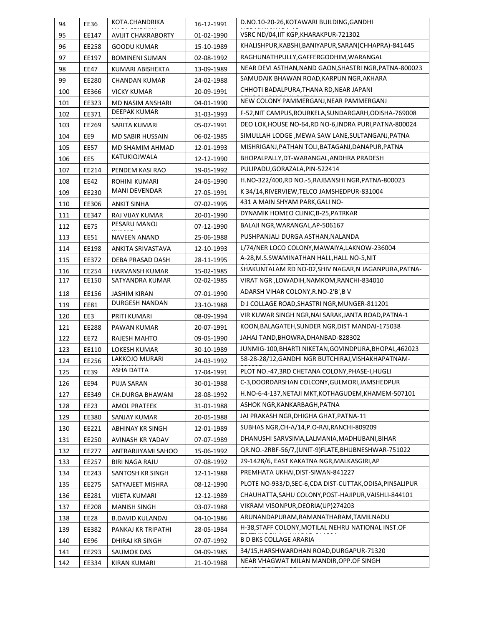| 94  | <b>EE36</b> | KOTA.CHANDRIKA            | 16-12-1991 | D.NO.10-20-26, KOTAWARI BUILDING, GANDHI                  |
|-----|-------------|---------------------------|------------|-----------------------------------------------------------|
| 95  | EE147       | <b>AVIJIT CHAKRABORTY</b> | 01-02-1990 | VSRC ND/04, IIT KGP, KHARAKPUR-721302                     |
| 96  | EE258       | <b>GOODU KUMAR</b>        | 15-10-1989 | KHALISHPUR, KABSHI, BANIYAPUR, SARAN (CHHAPRA)-841445     |
| 97  | EE197       | <b>BOMINENI SUMAN</b>     | 02-08-1992 | RAGHUNATHPULLY, GAFFERGODHIM, WARANGAL                    |
| 98  | EE47        | KUMARI ABISHEKTA          | 13-09-1989 | NEAR DEVI ASTHAN, NAND GAON, SHASTRI NGR, PATNA-800023    |
| 99  | EE280       | CHANDAN KUMAR             | 24-02-1988 | SAMUDAIK BHAWAN ROAD, KARPUN NGR, AKHARA                  |
| 100 | EE366       | <b>VICKY KUMAR</b>        | 20-09-1991 | CHHOTI BADALPURA, THANA RD, NEAR JAPANI                   |
| 101 | EE323       | MD NASIM ANSHARI          | 04-01-1990 | NEW COLONY PAMMERGANJ, NEAR PAMMERGANJ                    |
| 102 | EE371       | <b>DEEPAK KUMAR</b>       | 31-03-1993 | F-52, NIT CAMPUS, ROURKELA, SUNDARGARH, ODISHA-769008     |
| 103 | EE269       | SARITA KUMARI             | 05-07-1991 | DEO LOK, HOUSE NO-64, RD NO-6, INDRA PURI, PATNA-800024   |
| 104 | EE9         | <b>MD SABIR HUSSAIN</b>   | 06-02-1985 | SIMULLAH LODGE, MEWA SAW LANE, SULTANGANJ, PATNA          |
| 105 | <b>EE57</b> | MD SHAMIM AHMAD           | 12-01-1993 | MISHRIGANJ, PATHAN TOLI, BATAGANJ, DANAPUR, PATNA         |
| 106 | EE5         | KATUKIOJWALA              | 12-12-1990 | BHOPALPALLY, DT-WARANGAL, ANDHRA PRADESH                  |
| 107 | EE214       | PENDEM KASI RAO           | 19-05-1992 | PULIPADU, GORAZALA, PIN-522414                            |
| 108 | EE42        | <b>ROHINI KUMARI</b>      | 24-05-1990 | H.NO-322/400,RD NO.-5,RAJBANSHI NGR,PATNA-800023          |
| 109 | EE230       | MANI DEVENDAR             | 27-05-1991 | K34/14, RIVERVIEW, TELCO JAMSHEDPUR-831004                |
| 110 | EE306       | ANKIT SINHA               | 07-02-1995 | 431 A MAIN SHYAM PARK, GALI NO-                           |
| 111 | EE347       | RAJ VIJAY KUMAR           | 20-01-1990 | DYNAMIK HOMEO CLINIC, B-25, PATRKAR                       |
| 112 | <b>EE75</b> | PESARU MANOJ              | 07-12-1990 | BALAJI NGR, WARANGAL, AP-506167                           |
| 113 | EE51        | <b>NAVEEN ANAND</b>       | 25-06-1988 | PUSHPANJALI DURGA ASTHAN, NALANDA                         |
| 114 | EE198       | ANKITA SRIVASTAVA         | 12-10-1993 | L/74/NER LOCO COLONY, MAWAIYA, LAKNOW-236004              |
| 115 | EE372       | DEBA PRASAD DASH          | 28-11-1995 | A-28,M.S.SWAMINATHAN HALL, HALL NO-5, NIT                 |
| 116 | EE254       | HARVANSH KUMAR            | 15-02-1985 | SHAKUNTALAM RD NO-02, SHIV NAGAR, N JAGANPURA, PATNA-     |
| 117 | EE150       | SATYANDRA KUMAR           | 02-02-1985 | VIRAT NGR , LOWADIH, NAMKOM, RANCHI-834010                |
| 118 | EE156       | <b>JASHIM KIRAN</b>       | 07-01-1990 | ADARSH VIHAR COLONY, R.NO-2'B', BV                        |
| 119 | EE81        | DURGESH NANDAN            | 23-10-1988 | D J COLLAGE ROAD, SHASTRI NGR, MUNGER-811201              |
| 120 | EE3         | PRITI KUMARI              | 08-09-1994 | VIR KUWAR SINGH NGR, NAI SARAK, JANTA ROAD, PATNA-1       |
| 121 | EE288       | PAWAN KUMAR               | 20-07-1991 | KOON, BALAGATEH, SUNDER NGR, DIST MANDAI-175038           |
| 122 | EE72        | RAJESH MAHTO              | 09-05-1990 | JAHAJ TAND, BHOWRA, DHANBAD-828302                        |
| 123 | EE110       | <b>LOKESH KUMAR</b>       | 30-10-1989 | JUNMIG-100, BHARTI NIKETAN, GOVINDPURA, BHOPAL, 462023    |
| 124 | EE256       | LAKKOJO MURARI            | 24-03-1992 | 58-28-28/12, GANDHI NGR BUTCHIRAJ, VISHAKHAPATNAM-        |
| 125 | EE39        | ASHA DATTA                | 17-04-1991 | PLOT NO.-47,3RD CHETANA COLONY, PHASE-I, HUGLI            |
| 126 | EE94        | <b>PUJA SARAN</b>         | 30-01-1988 | C-3,DOORDARSHAN COLCONY, GULMORI, JAMSHEDPUR              |
| 127 | EE349       | CH.DURGA BHAWANI          | 28-08-1992 | H.NO-6-4-137, NETAJI MKT, KOTHAGUDEM, KHAMEM-507101       |
| 128 | EE23        | <b>AMOL PRATEEK</b>       | 31-01-1988 | ASHOK NGR, KANKARBAGH, PATNA                              |
| 129 | EE380       | SANJAY KUMAR              | 20-05-1988 | JAI PRAKASH NGR, DHIGHA GHAT, PATNA-11                    |
| 130 | EE221       | ABHINAY KR SINGH          | 12-01-1989 | SUBHAS NGR, CH-A/14, P.O-RAI, RANCHI-809209               |
| 131 | EE250       | AVINASH KR YADAV          | 07-07-1989 | DHANUSHI SARVSIMA, LALMANIA, MADHUBANI, BIHAR             |
| 132 | EE277       | ANTRARJIYAMI SAHOO        | 15-06-1992 | QR.NO.-2RBF-56/7,(UNIT-9)FLATE,BHUBNESHWAR-751022         |
| 133 | EE257       | <b>BIRI NAGA RAJU</b>     | 07-08-1992 | 29-1428/6, EAST KAKATNA NGR, MALKASGIRI, AP               |
| 134 | EE243       | SANTOSH KR SINGH          | 12-11-1988 | PREMHATA UKHAI, DIST-SIWAN-841227                         |
| 135 | EE275       | SATYAJEET MISHRA          | 08-12-1990 | PLOTE NO-933/D, SEC-6, CDA DIST-CUTTAK, ODISA, PINSALIPUR |
| 136 | EE281       | VIJETA KUMARI             | 12-12-1989 | CHAUHATTA, SAHU COLONY, POST-HAJIPUR, VAISHLI-844101      |
| 137 | EE208       | MANISH SINGH              | 03-07-1988 | VIKRAM VISONPUR, DEORIA(UP)274203                         |
| 138 | EE28        | <b>B.DAVID KULANDAI</b>   | 04-10-1986 | ARUNANDAPURAM, RAMANATHARAM, TAMILNADU                    |
| 139 | EE382       | PANKAJ KR TRIPATHI        | 28-05-1984 | H-38, STAFF COLONY, MOTILAL NEHRU NATIONAL INST. OF       |
| 140 | EE96        | DHIRAJ KR SINGH           | 07-07-1992 | <b>B D BKS COLLAGE ARARIA</b>                             |
| 141 | EE293       | SAUMOK DAS                | 04-09-1985 | 34/15, HARSHWARDHAN ROAD, DURGAPUR-71320                  |
| 142 | EE334       | <b>KIRAN KUMARI</b>       | 21-10-1988 | NEAR VHAGWAT MILAN MANDIR, OPP. OF SINGH                  |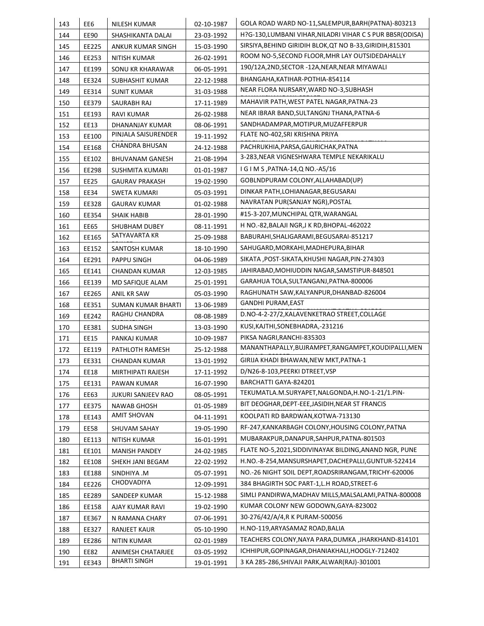| 143 | EE6         | NILESH KUMAR              | 02-10-1987 | GOLA ROAD WARD NO-11, SALEMPUR, BARH (PATNA)-803213       |
|-----|-------------|---------------------------|------------|-----------------------------------------------------------|
| 144 | <b>EE90</b> | SHASHIKANTA DALAI         | 23-03-1992 | H?G-130,LUMBANI VIHAR,NILADRI VIHAR C S PUR BBSR(ODISA)   |
| 145 | EE225       | ANKUR KUMAR SINGH         | 15-03-1990 | SIRSIYA, BEHIND GIRIDIH BLOK, QT NO B-33, GIRIDIH, 815301 |
| 146 | EE253       | NITISH KUMAR              | 26-02-1991 | ROOM NO-5, SECOND FLOOR, MHR LAY OUTSIDEDAHALLY           |
| 147 | EE199       | SONU KR KHARAWAR          | 06-05-1991 | 190/12A,2ND,SECTOR -12A,NEAR,NEAR MIYAWALI                |
| 148 | EE324       | SUBHASHIT KUMAR           | 22-12-1988 | BHANGAHA, KATIHAR-POTHIA-854114                           |
| 149 | EE314       | <b>SUNIT KUMAR</b>        | 31-03-1988 | NEAR FLORA NURSARY, WARD NO-3, SUBHASH                    |
| 150 | EE379       | SAURABH RAJ               | 17-11-1989 | MAHAVIR PATH, WEST PATEL NAGAR, PATNA-23                  |
| 151 | EE193       | RAVI KUMAR                | 26-02-1988 | NEAR IBRAR BAND, SULTANGNJ THANA, PATNA-6                 |
| 152 | EE13        | DHANANJAY KUMAR           | 08-06-1991 | SANDHADAMPAR, MOTIPUR, MUZAFFERPUR                        |
| 153 | EE100       | PINJALA SAISURENDER       | 19-11-1992 | FLATE NO-402, SRI KRISHNA PRIYA                           |
| 154 | EE168       | <b>CHANDRA BHUSAN</b>     | 24-12-1988 | PACHRUKHIA, PARSA, GAURICHAK, PATNA                       |
| 155 | EE102       | <b>BHUVANAM GANESH</b>    | 21-08-1994 | 3-283, NEAR VIGNESHWARA TEMPLE NEKARIKALU                 |
| 156 | EE298       | SUSHMITA KUMARI           | 01-01-1987 | I G I M S, PATNA-14, Q NO.-A5/16                          |
| 157 | EE25        | <b>GAURAV PRAKASH</b>     | 19-02-1990 | GOBLNDPURAM COLONY, ALLAHABAD(UP)                         |
| 158 | EE34        | <b>SWETA KUMARI</b>       | 05-03-1991 | DINKAR PATH, LOHIANAGAR, BEGUSARAI                        |
| 159 | EE328       | <b>GAURAV KUMAR</b>       | 01-02-1988 | NAVRATAN PUR(SANJAY NGR), POSTAL                          |
| 160 | EE354       | <b>SHAIK HABIB</b>        | 28-01-1990 | #15-3-207, MUNCHIPAL QTR, WARANGAL                        |
| 161 | EE65        | SHUBHAM DUBEY             | 08-11-1991 | H NO.-82, BALAJI NGR, J K RD, BHOPAL-462022               |
| 162 | EE165       | SATYAVARTA KR             | 25-09-1988 | BABURAHI, SHALIGARAMI, BEGUSARAI-851217                   |
| 163 | EE152       | SANTOSH KUMAR             | 18-10-1990 | SAHUGARD, MORKAHI, MADHEPURA, BIHAR                       |
| 164 | EE291       | PAPPU SINGH               | 04-06-1989 | SIKATA, POST-SIKATA, KHUSHI NAGAR, PIN-274303             |
| 165 | EE141       | <b>CHANDAN KUMAR</b>      | 12-03-1985 | JAHIRABAD, MOHIUDDIN NAGAR, SAMSTIPUR-848501              |
| 166 | EE139       | MD SAFIQUE ALAM           | 25-01-1991 | GARAHUA TOLA, SULTANGANJ, PATNA-800006                    |
| 167 | EE265       | ANIL KR SAW               | 05-03-1990 | RAGHUNATH SAW, KALYANPUR, DHANBAD-826004                  |
| 168 | EE351       | <b>SUMAN KUMAR BHARTI</b> | 13-06-1989 | GANDHI PURAM,EAST                                         |
| 169 | EE242       | RAGHU CHANDRA             | 08-08-1989 | D.NO-4-2-27/2, KALAVENKETRAO STREET, COLLAGE              |
| 170 | EE381       | SUDHA SINGH               | 13-03-1990 | KUSI, KAJTHI, SONEBHADRA, -231216                         |
| 171 | EE15        | PANKAJ KUMAR              | 10-09-1987 | PIKSA NAGRI, RANCHI-835303                                |
| 172 | EE119       | PATHLOTH RAMESH           | 25-12-1988 | MANANTHAPALLY, BUJRAMPET, RANGAMPET, KOUDIPALLI, MEN      |
| 173 | EE331       | CHANDAN KUMAR             | 13-01-1992 | GIRIJA KHADI BHAWAN, NEW MKT, PATNA-1                     |
| 174 | EE18        | MIRTHIPATI RAJESH         | 17-11-1992 | D/N26-8-103, PEERKI DTREET, VSP                           |
| 175 | EE131       | PAWAN KUMAR               | 16-07-1990 | BARCHATTI GAYA-824201                                     |
| 176 | EE63        | JUKURI SANJEEV RAO        | 08-05-1991 | TEKUMATLA.M.SURYAPET, NALGONDA, H.NO-1-21/1.PIN-          |
| 177 | EE375       | <b>NAWAB GHOSH</b>        | 01-05-1989 | BIT DEOGHAR, DEPT-EEE, JASIDIH, NEAR ST FRANCIS           |
| 178 | EE143       | AMIT SHOVAN               | 04-11-1991 | KOOLPATI RD BARDWAN, KOTWA-713130                         |
| 179 | <b>EE58</b> | SHUVAM SAHAY              | 19-05-1990 | RF-247, KANKARBAGH COLONY, HOUSING COLONY, PATNA          |
| 180 | EE113       | NITISH KUMAR              | 16-01-1991 | MUBARAKPUR, DANAPUR, SAHPUR, PATNA-801503                 |
| 181 | EE101       | <b>MANISH PANDEY</b>      | 24-02-1985 | FLATE NO-5,2021, SIDDIVINAYAK BILDING, ANAND NGR, PUNE    |
| 182 | EE108       | SHEKH JANI BEGAM          | 22-02-1992 | H.NO.-8-254, MANSURSHAPET, DACHEPALLI, GUNTUR-522414      |
| 183 | EE188       | SINDHIYA .M               | 05-07-1991 | NO.-26 NIGHT SOIL DEPT, ROADSRIRANGAM, TRICHY-620006      |
| 184 | EE226       | CHODVADIYA                | 12-09-1991 | 384 BHAGIRTH SOC PART-1, L.H ROAD, STREET-6               |
| 185 | EE289       | SANDEEP KUMAR             | 15-12-1988 | SIMLI PANDIRWA, MADHAV MILLS, MALSALAMI, PATNA-800008     |
| 186 | EE158       | AJAY KUMAR RAVI           | 19-02-1990 | KUMAR COLONY NEW GODOWN, GAYA-823002                      |
| 187 | EE367       | N RAMANA CHARY            | 07-06-1991 | 30-276/42/A/4,R K PURAM-500056                            |
| 188 | EE327       | <b>RANJEET KAUR</b>       | 05-10-1990 | H.NO-119, ARYASAMAZ ROAD, BALIA                           |
| 189 | EE286       | NITIN KUMAR               | 02-01-1989 | TEACHERS COLONY, NAYA PARA, DUMKA, JHARKHAND-814101       |
| 190 | <b>EE82</b> | ANIMESH CHATARJEE         | 03-05-1992 | ICHHIPUR, GOPINAGAR, DHANIAKHALI, HOOGLY-712402           |
| 191 | EE343       | <b>BHARTI SINGH</b>       | 19-01-1991 | 3 KA 285-286, SHIVAJI PARK, ALWAR (RAJ)-301001            |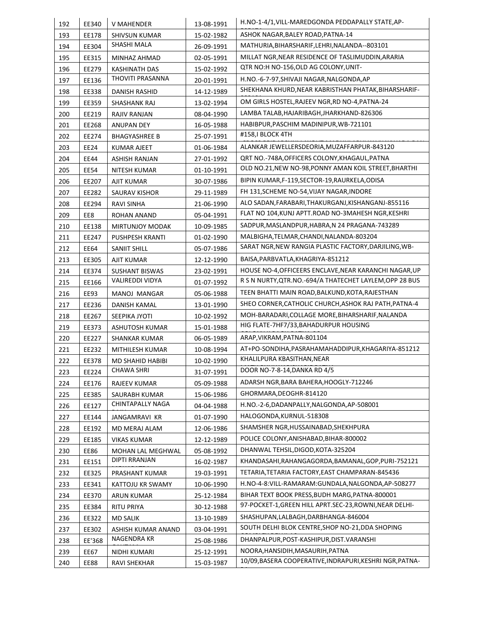| 192 | EE340       | V MAHENDER                         | 13-08-1991 | H.NO-1-4/1, VILL-MAREDGONDA PEDDAPALLY STATE, AP-        |
|-----|-------------|------------------------------------|------------|----------------------------------------------------------|
| 193 | EE178       | SHIVSUN KUMAR                      | 15-02-1982 | ASHOK NAGAR, BALEY ROAD, PATNA-14                        |
| 194 | EE304       | SHASHI MALA                        | 26-09-1991 | MATHURIA, BIHARSHARIF, LEHRI, NALANDA--803101            |
| 195 | EE315       | MINHAZ AHMAD                       | 02-05-1991 | MILLAT NGR, NEAR RESIDENCE OF TASLIMUDDIN, ARARIA        |
| 196 | EE279       | <b>KASHINATH DAS</b>               | 15-02-1992 | QTR NO:H NO-156, OLD AG COLONY, UNIT-                    |
| 197 | EE136       | THOVITI PRASANNA                   | 20-01-1991 | H.NO.-6-7-97, SHIVAJI NAGAR, NALGONDA, AP                |
| 198 | EE338       | DANISH RASHID                      | 14-12-1989 | SHEKHANA KHURD, NEAR KABRISTHAN PHATAK, BIHARSHARIF-     |
| 199 | EE359       | SHASHANK RAJ                       | 13-02-1994 | OM GIRLS HOSTEL, RAJEEV NGR, RD NO-4, PATNA-24           |
| 200 | EE219       | RAJIV RANJAN                       | 08-04-1990 | LAMBA TALAB, HAJARIBAGH, JHARKHAND-826306                |
| 201 | EE268       | <b>ANUPAN DEY</b>                  | 16-05-1988 | HABIBPUR, PASCHIM MADINIPUR, WB-721101                   |
| 202 | EE274       | <b>BHAGYASHREE B</b>               | 25-07-1991 | #158, I BLOCK 4TH                                        |
| 203 | EE24        | KUMAR AJEET                        | 01-06-1984 | ALANKAR JEWELLERSDEORIA, MUZAFFARPUR-843120              |
| 204 | EE44        | ASHISH RANJAN                      | 27-01-1992 | QRT NO.-748A, OFFICERS COLONY, KHAGAUL, PATNA            |
| 205 | EE54        | NITESH KUMAR                       | 01-10-1991 | OLD NO.21, NEW NO-98, PONNY AMAN KOIL STREET, BHARTHI    |
| 206 | EE207       | AJIT KUMAR                         | 30-07-1986 | BIPIN KUMAR, F-119, SECTOR-19, RAURKELA, ODISA           |
| 207 | EE282       | SAURAV KISHOR                      | 29-11-1989 | FH 131, SCHEME NO-54, VIJAY NAGAR, INDORE                |
| 208 | EE294       | RAVI SINHA                         | 21-06-1990 | ALO SADAN, FARABARI, THAKURGANJ, KISHANGANJ-855116       |
| 209 | EE8         | ROHAN ANAND                        | 05-04-1991 | FLAT NO 104, KUNJ APTT.ROAD NO-3MAHESH NGR, KESHRI       |
| 210 | EE138       | <b>MIRTUNJOY MODAK</b>             | 10-09-1985 | SADPUR, MASLANDPUR, HABRA, N 24 PRAGANA-743289           |
| 211 | EE247       | PUSHPESH KRANTI                    | 01-02-1990 | MALBIGHA, TELMAR, CHANDI, NALANDA-803204                 |
| 212 | EE64        | SANIIT SHILL                       | 05-07-1986 | SARAT NGR, NEW RANGIA PLASTIC FACTORY, DARJILING, WB-    |
| 213 | EE305       | AJIT KUMAR                         | 12-12-1990 | BAISA, PARBVATLA, KHAGRIYA-851212                        |
| 214 | EE374       | <b>SUSHANT BISWAS</b>              | 23-02-1991 | HOUSE NO-4, OFFICEERS ENCLAVE, NEAR KARANCHI NAGAR, UP   |
| 215 | EE166       | <b>VALIREDDI VIDYA</b>             | 01-07-1992 | R S N NURTY, QTR.NO.-694/A THATECHET LAYLEM, OPP 28 BUS  |
| 216 | EE93        | MANOJ MANGAR                       | 05-06-1988 | TEEN BHATTI MAIN ROAD, BALKUND, KOTA, RAJESTHAN          |
| 217 | EE236       | DANISH KAMAL                       | 13-01-1990 | SHEO CORNER, CATHOLIC CHURCH, ASHOK RAJ PATH, PATNA-4    |
| 218 | EE267       | SEEPIKA JYOTI                      | 10-02-1992 | MOH-BARADARI, COLLAGE MORE, BIHARSHARIF, NALANDA         |
| 219 | EE373       | ASHUTOSH KUMAR                     | 15-01-1988 | HIG FLATE-7HF7/33, BAHADURPUR HOUSING                    |
| 220 | EE227       | SHANKAR KUMAR                      | 06-05-1989 | ARAP, VIKRAM, PATNA-801104                               |
| 221 | EE232       | MITHILESH KUMAR                    | 10-08-1994 | AT+PO-SONDIHA, PASRAHAMAHADDIPUR, KHAGARIYA-851212       |
| 222 | EE378       | MD SHAHID HABIBI                   | 10-02-1990 | KHALILPURA KBASITHAN, NEAR                               |
| 223 | EE224       | <b>CHAWA SHRI</b>                  | 31-07-1991 | DOOR NO-7-8-14, DANKA RD 4/5                             |
|     |             |                                    | 05-09-1988 | ADARSH NGR, BARA BAHERA, HOOGLY-712246                   |
| 224 | EE176       | RAJEEV KUMAR                       |            | GHORMARA, DEOGHR-814120                                  |
| 225 | EE385       | SAURABH KUMAR<br>CHINTAPALLY NAGA  | 15-06-1986 | H.NO.-2-6,DADANPALLY,NALGONDA,AP-508001                  |
| 226 | EE127       |                                    | 04-04-1988 | HALOGONDA, KURNUL-518308                                 |
| 227 | EE144       | JANGAMRAVI KR                      | 01-07-1990 | SHAMSHER NGR, HUSSAINABAD, SHEKHPURA                     |
| 228 | EE192       | MD MERAJ ALAM                      | 12-06-1986 | POLICE COLONY, ANISHABAD, BIHAR-800002                   |
| 229 | EE185       | <b>VIKAS KUMAR</b>                 | 12-12-1989 | DHANWAL TEHSIL, DIGOD, KOTA-325204                       |
| 230 | EE86        | MOHAN LAL MEGHWAL<br>DIPTI RRANJAN | 05-08-1992 | KHANDASAHI, RAHANGAGORDA, BAMANAL, GOP, PURI-752121      |
| 231 | EE151       |                                    | 16-02-1987 |                                                          |
| 232 | EE325       | PRASHANT KUMAR                     | 19-03-1991 | TETARIA, TETARIA FACTORY, EAST CHAMPARAN-845436          |
| 233 | EE341       | KATTOJU KR SWAMY                   | 10-06-1990 | H.NO-4-8: VILL-RAMARAM: GUNDALA, NALGONDA, AP-508277     |
| 234 | EE370       | ARUN KUMAR                         | 25-12-1984 | BIHAR TEXT BOOK PRESS, BUDH MARG, PATNA-800001           |
| 235 | EE384       | <b>RITU PRIYA</b>                  | 30-12-1988 | 97-POCKET-1, GREEN HILL APRT.SEC-23, ROWNI, NEAR DELHI-  |
| 236 | EE322       | <b>MD SALIK</b>                    | 13-10-1989 | SHASHUPAN, LALBAGH, DARBHANGA-846004                     |
| 237 | EE302       | ASHISH KUMAR ANAND                 | 03-04-1991 | SOUTH DELHI BLOK CENTRE, SHOP NO-21, DDA SHOPING         |
| 238 | EE'368      | NAGENDRA KR                        | 25-08-1986 | DHANPALPUR, POST-KASHIPUR, DIST. VARANSHI                |
| 239 | EE67        | NIDHI KUMARI                       | 25-12-1991 | NOORA, HANSIDIH, MASAURIH, PATNA                         |
| 240 | <b>EE88</b> | RAVI SHEKHAR                       | 15-03-1987 | 10/09, BASERA COOPERATIVE, INDRAPURI, KESHRI NGR, PATNA- |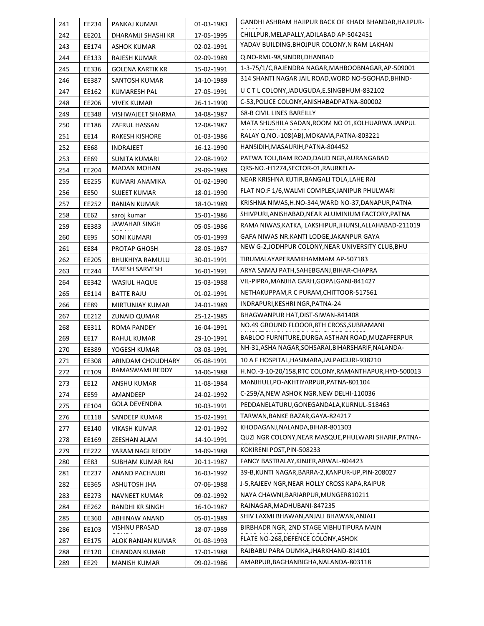| 241        | EE234          | PANKAJ KUMAR                       | 01-03-1983 | GANDHI ASHRAM HAJIPUR BACK OF KHADI BHANDAR, HAJIPUR-  |
|------------|----------------|------------------------------------|------------|--------------------------------------------------------|
| 242        | EE201          | DHARAMJI SHASHI KR                 | 17-05-1995 | CHILLPUR, MELAPALLY, ADILABAD AP-5042451               |
| 243        | EE174          | ASHOK KUMAR                        | 02-02-1991 | YADAV BUILDING, BHOJPUR COLONY, N RAM LAKHAN           |
| 244        | EE133          | RAJESH KUMAR                       | 02-09-1989 | Q.NO-RML-98, SINDRI, DHANBAD                           |
| 245        | EE336          | <b>GOLENA KARTIK KR</b>            | 15-02-1991 | 1-3-75/1/C, RAJENDRA NAGAR, MAHBOOBNAGAR, AP-509001    |
| 246        | EE387          | SANTOSH KUMAR                      | 14-10-1989 | 314 SHANTI NAGAR JAIL ROAD, WORD NO-5GOHAD, BHIND-     |
| 247        | EE162          | KUMARESH PAL                       | 27-05-1991 | UCTLCOLONY, JADUGUDA, E.SINGBHUM-832102                |
| 248        | EE206          | <b>VIVEK KUMAR</b>                 | 26-11-1990 | C-53, POLICE COLONY, ANISHABADPATNA-800002             |
| 249        | EE348          | VISHWAJEET SHARMA                  | 14-08-1987 | 68-B CIVIL LINES BAREILLY                              |
| 250        | EE186          | ZAFRUL HASSAN                      | 12-08-1987 | MATA SHUSHILA SADAN, ROOM NO 01, KOLHUARWA JANPUL      |
| 251        | EE14           | <b>RAKESH KISHORE</b>              | 01-03-1986 | RALAY Q.NO.-108(AB), MOKAMA, PATNA-803221              |
| 252        | EE68           | INDRAJEET                          | 16-12-1990 | HANSIDIH, MASAURIH, PATNA-804452                       |
| 253        | EE69           | SUNITA KUMARI                      | 22-08-1992 | PATWA TOLI, BAM ROAD, DAUD NGR, AURANGABAD             |
| 254        | EE204          | <b>MADAN MOHAN</b>                 | 29-09-1989 | QRS-NO.-H1274,SECTOR-01,RAURKELA-                      |
| 255        | EE255          | KUMARI ANAMIKA                     | 01-02-1990 | NEAR KRISHNA KUTIR, BANGALI TOLA, LAHE RAI             |
| 256        | EE50           | SUJEET KUMAR                       | 18-01-1990 | FLAT NO:F 1/6, WALMI COMPLEX, JANIPUR PHULWARI         |
| 257        | EE252          | <b>RANJAN KUMAR</b>                | 18-10-1989 | KRISHNA NIWAS,H.NO-344,WARD NO-37,DANAPUR,PATNA        |
| 258        | EE62           | saroj kumar                        | 15-01-1986 | SHIVPURI, ANISHABAD, NEAR ALUMINIUM FACTORY, PATNA     |
| 259        | EE383          | JAWAHAR SINGH                      | 05-05-1986 | RAMA NIWAS, KATKA, LAKSHIPUR, JHUNSI, ALLAHABAD-211019 |
| 260        | <b>EE95</b>    | SONI KUMARI                        | 05-01-1993 | GAFA NIWAS NR.KANTI LODGE,JAKANPUR GAYA                |
| 261        | EE84           | PROTAP GHOSH                       | 28-05-1987 | NEW G-2, JODHPUR COLONY, NEAR UNIVERSITY CLUB, BHU     |
| 262        | EE205          | <b>BHUKHIYA RAMULU</b>             | 30-01-1991 | TIRUMALAYAPERAMKHAMMAM AP-507183                       |
| 263        | EE244          | <b>TARESH SARVESH</b>              | 16-01-1991 | ARYA SAMAJ PATH,SAHEBGANJ,BIHAR-CHAPRA                 |
| 264        | EE342          | <b>WASIUL HAQUE</b>                | 15-03-1988 | VIL-PIPRA, MANJHA GARH, GOPALGANJ-841427               |
| 265        | EE114          | <b>BATTE RAJU</b>                  | 01-02-1991 | NETHAKUPPAM, R C PURAM, CHITTOOR-517561                |
| 266        | <b>EE89</b>    | MIRTUNJAY KUMAR                    | 24-01-1989 | INDRAPURI, KESHRI NGR, PATNA-24                        |
| 267        | EE212          | <b>ZUNAID QUMAR</b>                | 25-12-1985 | BHAGWANPUR HAT, DIST-SIWAN-841408                      |
| 268        | EE311          | ROMA PANDEY                        | 16-04-1991 | NO.49 GROUND FLOOOR, 8TH CROSS, SUBRAMANI              |
| 269        | EE17           | RAHUL KUMAR                        | 29-10-1991 | BABLOO FURNITURE, DURGA ASTHAN ROAD, MUZAFFERPUR       |
| 270        | EE389          | YOGESH KUMAR                       | 03-03-1991 | NH-31,ASHA NAGAR,SOHSARAI,BIHARSHARIF,NALANDA-         |
| 271        | EE308          | ARINDAM CHOUDHARY                  | 05-08-1991 | 10 A F HOSPITAL, HASIMARA, JALPAIGURI-938210           |
| 272        | EE109          | RAMASWAMI REDDY                    | 14-06-1988 | H.NO.-3-10-20/158, RTC COLONY, RAMANTHAPUR, HYD-500013 |
| 273        | EE12           | ANSHU KUMAR                        | 11-08-1984 | MANJHULI, PO-AKHTIYARPUR, PATNA-801104                 |
| 274        | EE59           | AMANDEEP                           | 24-02-1992 | C-259/A, NEW ASHOK NGR, NEW DELHI-110036               |
| 275        | EE104          | <b>GOLA DEVENDRA</b>               | 10-03-1991 | PEDDANELATURU, GONEGANDALA, KURNUL-518463              |
| 276        | EE118          | SANDEEP KUMAR                      | 15-02-1991 | TARWAN, BANKE BAZAR, GAYA-824217                       |
| 277        | EE140          | VIKASH KUMAR                       | 12-01-1992 | KHODAGANJ, NALANDA, BIHAR-801303                       |
| 278        | EE169          | ZEESHAN ALAM                       | 14-10-1991 | QUZI NGR COLONY, NEAR MASQUE, PHULWARI SHARIF, PATNA-  |
| 279        | EE222          | YARAM NAGI REDDY                   | 14-09-1988 | KOKIRENI POST, PIN-508233                              |
| 280        | EE83           | SUBHAM KUMAR RAJ                   | 20-11-1987 | FANCY BASTRALAY, KINJER, ARWAL-804423                  |
| 281        | EE237          | ANAND PACHAURI                     | 16-03-1992 | 39-B,KUNTI NAGAR,BARRA-2,KANPUR-UP,PIN-208027          |
| 282        | EE365          | ASHUTOSH JHA                       | 07-06-1988 | J-5, RAJEEV NGR, NEAR HOLLY CROSS KAPA, RAIPUR         |
| 283        | EE273          | NAVNEET KUMAR                      | 09-02-1992 | NAYA CHAWNI, BARIARPUR, MUNGER810211                   |
| 284        | EE262          | RANDHI KR SINGH                    | 16-10-1987 | RAJNAGAR, MADHUBANI-847235                             |
|            | EE360          | ABHINAW ANAND                      | 05-01-1989 | SHIV LAXMI BHAWAN, ANJALI BHAWAN, ANJALI               |
| 285        |                | VISHNU PRASAD                      |            | BIRBHADR NGR, 2ND STAGE VIBHUTIPURA MAIN               |
| 286        | EE103          |                                    | 18-07-1989 |                                                        |
|            |                |                                    | 01-08-1993 | FLATE NO-268, DEFENCE COLONY, ASHOK                    |
| 287<br>288 | EE175<br>EE120 | ALOK RANJAN KUMAR<br>CHANDAN KUMAR | 17-01-1988 | RAJBABU PARA DUMKA, JHARKHAND-814101                   |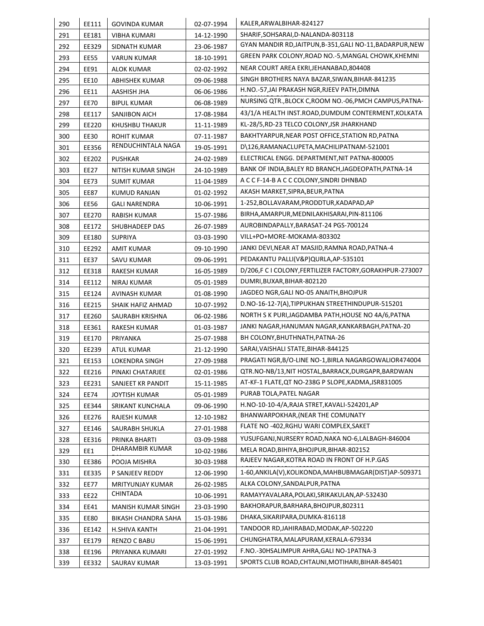| 290        | EE111          | <b>GOVINDA KUMAR</b>            | 02-07-1994               | KALER, ARWALBIHAR-824127                                                         |
|------------|----------------|---------------------------------|--------------------------|----------------------------------------------------------------------------------|
| 291        | EE181          | <b>VIBHA KUMARI</b>             | 14-12-1990               | SHARIF, SOHSARAI, D-NALANDA-803118                                               |
| 292        | EE329          | SIDNATH KUMAR                   | 23-06-1987               | GYAN MANDIR RD, JAITPUN, B-351, GALI NO-11, BADARPUR, NEW                        |
| 293        | <b>EE55</b>    | <b>VARUN KUMAR</b>              | 18-10-1991               | GREEN PARK COLONY, ROAD NO.-5, MANGAL CHOWK, KHEMNI                              |
| 294        | EE91           | <b>ALOK KUMAR</b>               | 02-02-1992               | NEAR COURT AREA EKRI, JEHANABAD, 804408                                          |
| 295        | EE10           | ABHISHEK KUMAR                  | 09-06-1988               | SINGH BROTHERS NAYA BAZAR, SIWAN, BIHAR-841235                                   |
| 296        | EE11           | AASHISH JHA                     | 06-06-1986               | H.NO.-57,JAI PRAKASH NGR,RJEEV PATH,DIMNA                                        |
| 297        | <b>EE70</b>    | <b>BIPUL KUMAR</b>              | 06-08-1989               | NURSING QTR., BLOCK C, ROOM NO.-06, PMCH CAMPUS, PATNA-                          |
| 298        | EE117          | SANJIBON AICH                   | 17-08-1984               | 43/1/A HEALTH INST.ROAD, DUMDUM CONTERMENT, KOLKATA                              |
| 299        | EE220          | KHUSHBU THAKUR                  | 11-11-1989               | KL-28/5, RD-23 TELCO COLONY, JSR JHARKHAND                                       |
| 300        | <b>EE30</b>    | <b>ROHIT KUMAR</b>              | 07-11-1987               | BAKHTYARPUR, NEAR POST OFFICE, STATION RD, PATNA                                 |
| 301        | EE356          | RENDUCHINTALA NAGA              | 19-05-1991               | D\126,RAMANACLUPETA,MACHILIPATNAM-521001                                         |
| 302        | EE202          | <b>PUSHKAR</b>                  | 24-02-1989               | ELECTRICAL ENGG. DEPARTMENT, NIT PATNA-800005                                    |
| 303        | EE27           | NITISH KUMAR SINGH              | 24-10-1989               | BANK OF INDIA, BALEY RD BRANCH, JAGDEOPATH, PATNA-14                             |
| 304        | EE73           | <b>SUMIT KUMAR</b>              | 11-04-1989               | A C C F-14-B A C C COLONY, SINDRI DHNBAD                                         |
| 305        | <b>EE87</b>    | <b>KUMUD RANJAN</b>             | 01-02-1992               | AKASH MARKET, SIPRA, BEUR, PATNA                                                 |
| 306        | EE56           | <b>GALI NARENDRA</b>            | 10-06-1991               | 1-252, BOLLAVARAM, PRODDTUR, KADAPAD, AP                                         |
| 307        | EE270          | <b>RABISH KUMAR</b>             | 15-07-1986               | BIRHA, AMARPUR, MEDNILAKHISARAI, PIN-811106                                      |
| 308        | EE172          | SHUBHADEEP DAS                  | 26-07-1989               | AUROBINDAPALLY, BARASAT-24 PGS-700124                                            |
| 309        | EE180          | <b>SUPRIYA</b>                  | 03-03-1990               | VILL+PO+MORE-MOKAMA-803302                                                       |
| 310        | EE292          | AMIT KUMAR                      | 09-10-1990               | JANKI DEVI,NEAR AT MASJID,RAMNA ROAD,PATNA-4                                     |
| 311        | <b>EE37</b>    | SAVU KUMAR                      | 09-06-1991               | PEDAKANTU PALLI(V&P)QURLA, AP-535101                                             |
| 312        | EE318          | RAKESH KUMAR                    | 16-05-1989               | D/206,F C I COLONY,FERTILIZER FACTORY,GORAKHPUR-273007                           |
| 314        | EE112          | NIRAJ KUMAR                     | 05-01-1989               | DUMRI, BUXAR, BIHAR-802120                                                       |
| 315        | EE124          | AVINASH KUMAR                   | 01-08-1990               | JAGDEO NGR, GALI NO-05 ANAITH, BHOJPUR                                           |
| 316        | EE215          | SHAIK HAFIZ AHMAD               | 10-07-1992               | D.NO-16-12-7(A),TIPPUKHAN STREETHINDUPUR-515201                                  |
| 317        | EE260          | SAURABH KRISHNA                 | 06-02-1986               | NORTH S K PURI,JAGDAMBA PATH,HOUSE NO 4A/6,PATNA                                 |
| 318        | EE361          | RAKESH KUMAR                    | 01-03-1987               | JANKI NAGAR,HANUMAN NAGAR,KANKARBAGH,PATNA-20                                    |
| 319        | EE170          | PRIYANKA                        | 25-07-1988               | BH COLONY, BHUTHNATH, PATNA-26                                                   |
| 320        | EE239          | ATUL KUMAR                      | 21-12-1990               | SARAI, VAISHALI STATE, BIHAR-844125                                              |
| 321        | EE153          | <b>LOKENDRA SINGH</b>           | 27-09-1988               | PRAGATI NGR, B/O-LINE NO-1, BIRLA NAGARGOWALIOR474004                            |
| 322        | EE216          | PINAKI CHATARJEE                | 02-01-1986               | QTR.NO-NB/13,NIT HOSTAL,BARRACK,DURGAPR,BARDWAN                                  |
| 323        | EE231          | SANJEET KR PANDIT               | 15-11-1985               | AT-KF-1 FLATE, QT NO-238G P SLOPE, KADMA, JSR831005                              |
| 324        | <b>EE74</b>    | <b>JOYTISH KUMAR</b>            | 05-01-1989               | PURAB TOLA.PATEL NAGAR                                                           |
| 325        | EE344          | SRIKANT KUNCHALA                | 09-06-1990               | H.NO-10-10-4/A, RAJA STRET, KAVALI-524201, AP                                    |
| 326        | EE276          | RAJESH KUMAR                    | 12-10-1982               | BHANWARPOKHAR, (NEAR THE COMUNATY                                                |
| 327        | EE146          | SAURABH SHUKLA                  | 27-01-1988               | FLATE NO -402, RGHU WARI COMPLEX, SAKET                                          |
| 328        | EE316          | PRINKA BHARTI                   | 03-09-1988               | YUSUFGANJ, NURSERY ROAD, NAKA NO-6, LALBAGH-846004                               |
| 329        | EE1            | DHARAMBIR KUMAR                 | 10-02-1986               | MELA ROAD, BIHIYA, BHOJPUR, BIHAR-802152                                         |
| 330        | EE386          | POOJA MISHRA                    | 30-03-1988               | RAJEEV NAGAR, KOTRA ROAD IN FRONT OF H.P.GAS                                     |
| 331        | EE335          | P SANJEEV REDDY                 | 12-06-1990               | 1-60, ANKILA(V), KOLIKONDA, MAHBUBMAGAR (DIST) AP-509371                         |
| 332        | <b>EE77</b>    | MRITYUNJAY KUMAR                | 26-02-1985               | ALKA COLONY, SANDALPUR, PATNA                                                    |
| 333        | EE22           | CHINTADA                        | 10-06-1991               | RAMAYYAVALARA,POLAKI,SRIKAKULAN,AP-532430                                        |
| 334        | EE41           | MANISH KUMAR SINGH              | 23-03-1990               | BAKHORAPUR, BARHARA, BHOJPUR, 802311                                             |
| 335        | <b>EE80</b>    | BIKASH CHANDRA SAHA             | 15-03-1986               | DHAKA, SIKARIPARA, DUMKA-816118                                                  |
|            | EE142          | H.SHIVA KANTH                   | 21-04-1991               | TANDOOR RD, JAHIRABAD, MODAK, AP-502220                                          |
|            |                |                                 |                          |                                                                                  |
| 336        |                |                                 |                          |                                                                                  |
| 337<br>338 | EE179<br>EE196 | RENZO C BABU<br>PRIYANKA KUMARI | 15-06-1991<br>27-01-1992 | CHUNGHATRA, MALAPURAM, KERALA-679334<br>F.NO.-30HSALIMPUR AHRA, GALI NO-1PATNA-3 |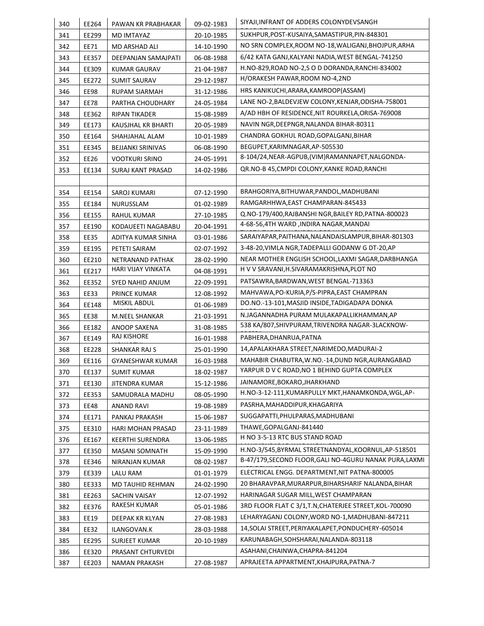| 340               | EE264          | PAWAN KR PRABHAKAR                 | 09-02-1983 | SIYAJI, INFRANT OF ADDERS COLONYDEVSANGH                                 |
|-------------------|----------------|------------------------------------|------------|--------------------------------------------------------------------------|
| 341               | EE299          | MD IMTAYAZ                         | 20-10-1985 | SUKHPUR, POST-KUSAIYA, SAMASTIPUR, PIN-848301                            |
| 342               | EE71           | MD ARSHAD ALI                      | 14-10-1990 | NO SRN COMPLEX, ROOM NO-18, WALIGANJ, BHOJPUR, ARHA                      |
| 343               | EE357          | DEEPANJAN SAMAJPATI                | 06-08-1988 | 6/42 KATA GANJ, KALYANI NADIA, WEST BENGAL-741250                        |
| 344               | EE309          | KUMAR GAURAV                       | 21-04-1987 | H.NO-829, ROAD NO-2, SO D DORANDA, RANCHI-834002                         |
| 345               | EE272          | <b>SUMIT SAURAV</b>                | 29-12-1987 | H/ORAKESH PAWAR, ROOM NO-4, 2ND                                          |
| 346               | EE98           | <b>RUPAM SIARMAH</b>               | 31-12-1986 | HRS KANIKUCHI, ARARA, KAMROOP (ASSAM)                                    |
| 347               | <b>EE78</b>    | PARTHA CHOUDHARY                   | 24-05-1984 | LANE NO-2, BALDEVJEW COLONY, KENJAR, ODISHA-758001                       |
| 348               | EE362          | RIPAN TIKADER                      | 15-08-1989 | A/AD HBH OF RESIDENCE, NIT ROURKELA, ORISA-769008                        |
| 349               | EE173          | KAUSJHAL KR BHARTI                 | 20-05-1989 | NAVIN NGR, DEEPNGR, NALANDA BIHAR-80311                                  |
| 350               | EE164          | SHAHJAHAL ALAM                     | 10-01-1989 | CHANDRA GOKHUL ROAD, GOPALGANJ, BIHAR                                    |
| 351               | EE345          | <b>BEJJANKI SRINIVAS</b>           | 06-08-1990 | BEGUPET, KARIMNAGAR, AP-505530                                           |
| 352               | EE26           | <b>VOOTKURI SRINO</b>              | 24-05-1991 | 8-104/24, NEAR-AGPUB, (VIM) RAMANNAPET, NALGONDA-                        |
| 353               | EE134          | <b>SURAJ KANT PRASAD</b>           | 14-02-1986 | QR.NO-B 45, CMPDI COLONY, KANKE ROAD, RANCHI                             |
|                   |                |                                    |            |                                                                          |
| 354               | EE154          | SAROJ KUMARI                       | 07-12-1990 | BRAHGORIYA, BITHUWAR, PANDOL, MADHUBANI                                  |
| 355               | EE184          | NURUSSLAM                          | 01-02-1989 | RAMGARHHWA, EAST CHAMPARAN-845433                                        |
| 356               | EE155          | <b>RAHUL KUMAR</b>                 | 27-10-1985 | Q.NO-179/400, RAJBANSHI NGR, BAILEY RD, PATNA-800023                     |
| 357               | EE190          | KODAUEETI NAGABABU                 | 20-04-1991 | 4-68-56,4TH WARD ,INDIRA NAGAR, MANDAI                                   |
| 358               | EE35           | ADITYA KUMAR SINHA                 | 03-01-1986 | SARAIYAPAR, PAITHANA, NALANDAISLAMPUR, BIHAR-801303                      |
| 359               | EE195          | PETETI SAIRAM                      | 02-07-1992 | 3-48-20, VIMLA NGR, TADEPALLI GODANW G DT-20, AP                         |
| 360               | EE210          | NETRANAND PATHAK                   | 28-02-1990 | NEAR MOTHER ENGLISH SCHOOL, LAXMI SAGAR, DARBHANGA                       |
| 361               | EE217          | HARI VIJAY VINKATA                 | 04-08-1991 | H V V SRAVANI, H. SIVARAMAKRISHNA, PLOT NO                               |
| 362               | EE352          | SYED NAHID ANJUM                   | 22-09-1991 | PATSAWRA, BARDWAN, WEST BENGAL-713363                                    |
| 363               | EE33           | PRINCE KUMAR                       | 12-08-1992 | MAHVAWA, PO-KURIA, P/S-PIPRA, EAST CHAMPRAN                              |
| 364               | EE148          | MISKIL ABDUL                       | 01-06-1989 | DO.NO.-13-101, MASJID INSIDE, TADIGADAPA DONKA                           |
| 365               | <b>EE38</b>    | M.NEEL SHANKAR                     | 21-03-1991 | N.JAGANNADHA PURAM MULAKAPALLIKHAMMAN, AP                                |
| 366               | EE182          | ANOOP SAXENA                       | 31-08-1985 | 538 KA/807, SHIVPURAM, TRIVENDRA NAGAR-3LACKNOW-                         |
| 367               | EE149          | RAJ KISHORE                        | 16-01-1988 | PABHERA, DHANRUA, PATNA                                                  |
| 368               | EE228          | SHANKAR RAJ S                      | 25-01-1990 | 14, APALAKHARA STREET, NARIMEDO, MADURAI-2                               |
| 369               | EE116          | GYANESHWAR KUMAR                   | 16-03-1988 | MAHABIR CHABUTRA, W.NO.-14, DUND NGR, AURANGABAD                         |
| 370               | EE137          | SUMIT KUMAR                        | 18-02-1987 | YARPUR D V C ROAD, NO 1 BEHIND GUPTA COMPLEX                             |
| 371               | EE130          | <b>JITENDRA KUMAR</b>              | 15-12-1986 | JAINAMORE, BOKARO, JHARKHAND                                             |
| 372               | EE353          | SAMUDRALA MADHU                    | 08-05-1990 | H.NO-3-12-111, KUMARPULLY MKT, HANAMKONDA, WGL, AP-                      |
| 373               | EE48           | <b>ANAND RAVI</b>                  | 19-08-1989 | PASRHA, MAHADDIPUR, KHAGARIYA                                            |
| 374               | EE171          | PANKAJ PRAKASH                     | 15-06-1987 | SUGGAPATTI, PHULPARAS, MADHUBANI                                         |
| 375               | EE310          | HARI MOHAN PRASAD                  | 23-11-1989 | THAWE, GOPALGANJ-841440                                                  |
| 376               | EE167          | <b>KEERTHI SURENDRA</b>            | 13-06-1985 | H NO 3-5-13 RTC BUS STAND ROAD                                           |
| 377               | EE350          | MASANI SOMNATH                     | 15-09-1990 | H.NO-3/545, BYRMAL STREETNANDYAL, KOORNUL, AP-518501                     |
| 378               | EE346          | NIRANJAN KUMAR                     | 08-02-1987 | B-47/179, SECOND FLOOR, GALI NO-4GURU NANAK PURA, LAXMI                  |
| 379               | EE339          | LALU RAM                           | 01-01-1979 | ELECTRICAL ENGG. DEPARTMENT, NIT PATNA-800005                            |
| 380               | EE333          | MD TAUHID REHMAN                   | 24-02-1990 | 20 BHARAVPAR, MURARPUR, BIHARSHARIF NALANDA, BIHAR                       |
| 381               | EE263          | SACHIN VAISAY                      | 12-07-1992 | HARINAGAR SUGAR MILL, WEST CHAMPARAN                                     |
| 382               | EE376          | RAKESH KUMAR                       | 05-01-1986 | 3RD FLOOR FLAT C 3/1, T.N, CHATERJEE STREET, KOL-700090                  |
| 383               | EE19           | DEEPAK KR KLYAN                    | 27-08-1983 | LEHARYAGANJ COLONY, WORD NO-1, MADHUBANI-847211                          |
|                   | EE32           | ILANGOVAN.K                        | 28-03-1988 | 14, SOLAI STREET, PERIYAKALAPET, PONDUCHERY-605014                       |
|                   |                |                                    |            |                                                                          |
|                   |                |                                    |            |                                                                          |
| 384<br>385<br>386 | EE295<br>EE320 | SURJEET KUMAR<br>PRASANT CHTURVEDI | 20-10-1989 | KARUNABAGH, SOHSHARAI, NALANDA-803118<br>ASAHANI, CHAINWA, CHAPRA-841204 |